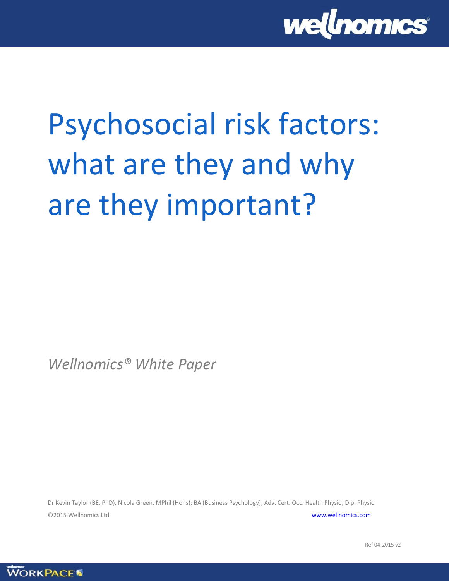

# Psychosocial risk factors: what are they and why are they important?

*Wellnomics® White Paper*

Dr Kevin Taylor (BE, PhD), Nicola Green, MPhil (Hons); BA (Business Psychology); Adv. Cert. Occ. Health Physio; Dip. Physio ©2015 Wellnomics Ltd [www.wellnomics.com](http://www.wellnomics.com/)

Ref 04-2015 v2

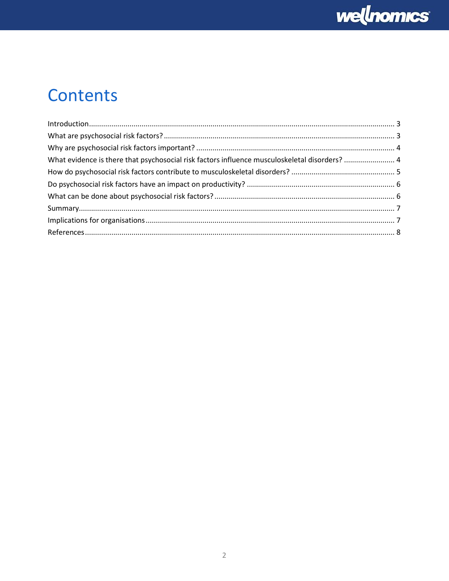

## Contents

| What evidence is there that psychosocial risk factors influence musculoskeletal disorders?  4 |  |
|-----------------------------------------------------------------------------------------------|--|
|                                                                                               |  |
|                                                                                               |  |
|                                                                                               |  |
|                                                                                               |  |
|                                                                                               |  |
|                                                                                               |  |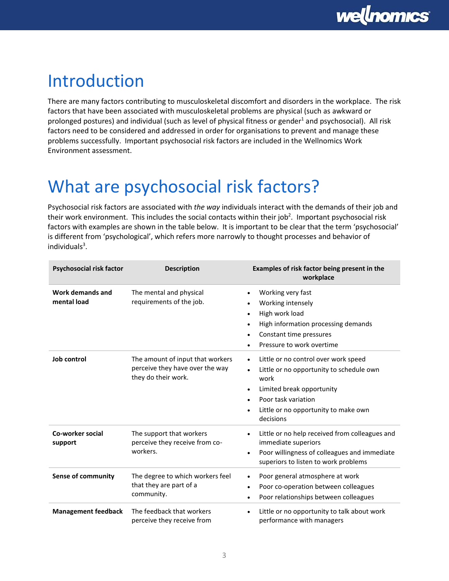### <span id="page-2-0"></span>Introduction

There are many factors contributing to musculoskeletal discomfort and disorders in the workplace. The risk factors that have been associated with musculoskeletal problems are physical (such as awkward or prolonged postures) and individual (such as level of physical fitness or gender<sup>1</sup> and psychosocial). All risk factors need to be considered and addressed in order for organisations to prevent and manage these problems successfully. Important psychosocial risk factors are included in the Wellnomics Work Environment assessment.

# <span id="page-2-1"></span>What are psychosocial risk factors?

Psychosocial risk factors are associated with *the way* individuals interact with the demands of their job and their work environment. This includes the social contacts within their job<sup>2</sup>. Important psychosocial risk factors with examples are shown in the table below. It is important to be clear that the term 'psychosocial' is different from 'psychological', which refers more narrowly to thought processes and behavior of individuals<sup>3</sup>.

| Psychosocial risk factor        | <b>Description</b>                                                                         | Examples of risk factor being present in the<br>workplace                                                                                                                                                                                                  |
|---------------------------------|--------------------------------------------------------------------------------------------|------------------------------------------------------------------------------------------------------------------------------------------------------------------------------------------------------------------------------------------------------------|
| Work demands and<br>mental load | The mental and physical<br>requirements of the job.                                        | Working very fast<br>$\bullet$<br>Working intensely<br>$\bullet$<br>High work load<br>$\bullet$<br>High information processing demands<br>٠<br>Constant time pressures<br>٠<br>Pressure to work overtime<br>$\bullet$                                      |
| Job control                     | The amount of input that workers<br>perceive they have over the way<br>they do their work. | Little or no control over work speed<br>$\bullet$<br>Little or no opportunity to schedule own<br>$\bullet$<br>work<br>Limited break opportunity<br>$\bullet$<br>Poor task variation<br>$\bullet$<br>Little or no opportunity to make own<br>٠<br>decisions |
| Co-worker social<br>support     | The support that workers<br>perceive they receive from co-<br>workers.                     | Little or no help received from colleagues and<br>$\bullet$<br>immediate superiors<br>Poor willingness of colleagues and immediate<br>$\bullet$<br>superiors to listen to work problems                                                                    |
| <b>Sense of community</b>       | The degree to which workers feel<br>that they are part of a<br>community.                  | Poor general atmosphere at work<br>$\bullet$<br>Poor co-operation between colleagues<br>٠<br>Poor relationships between colleagues<br>٠                                                                                                                    |
| <b>Management feedback</b>      | The feedback that workers<br>perceive they receive from                                    | Little or no opportunity to talk about work<br>$\bullet$<br>performance with managers                                                                                                                                                                      |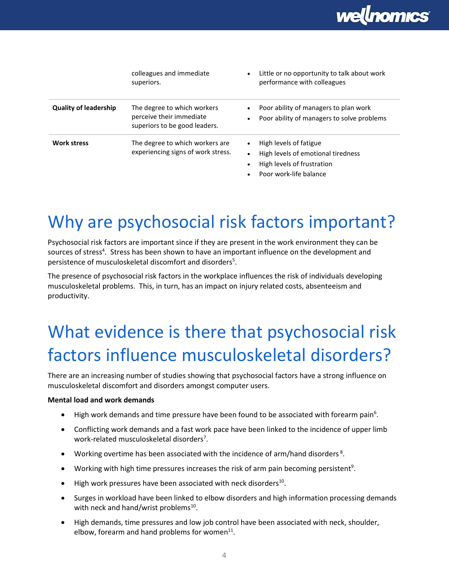

|                              | colleagues and immediate<br>superiors.                                                   | Little or no opportunity to talk about work<br>performance with colleagues                                           |
|------------------------------|------------------------------------------------------------------------------------------|----------------------------------------------------------------------------------------------------------------------|
| <b>Quality of leadership</b> | The degree to which workers<br>perceive their immediate<br>superiors to be good leaders. | Poor ability of managers to plan work<br>Poor ability of managers to solve problems<br>$\bullet$                     |
| <b>Work stress</b>           | The degree to which workers are<br>experiencing signs of work stress.                    | High levels of fatigue<br>High levels of emotional tiredness<br>High levels of frustration<br>Poor work-life balance |

## <span id="page-3-0"></span>Why are psychosocial risk factors important?

Psychosocial risk factors are important since if they are present in the work environment they can be sources of stress<sup>4</sup>. Stress has been shown to have an important influence on the development and persistence of musculoskeletal discomfort and disorders<sup>5</sup>.

The presence of psychosocial risk factors in the workplace influences the risk of individuals developing musculoskeletal problems. This, in turn, has an impact on injury related costs, absenteeism and productivity.

# <span id="page-3-1"></span>What evidence is there that psychosocial risk factors influence musculoskeletal disorders?

There are an increasing number of studies showing that psychosocial factors have a strong influence on musculoskeletal discomfort and disorders amongst computer users.

#### **Mental load and work demands**

- $\bullet$  High work demands and time pressure have been found to be associated with forearm pain<sup>6</sup>.
- Conflicting work demands and a fast work pace have been linked to the incidence of upper limb work-related musculoskeletal disorders<sup>7</sup>.
- Working overtime has been associated with the incidence of arm/hand disorders<sup>8</sup>.
- $\bullet$  Working with high time pressures increases the risk of arm pain becoming persistent<sup>9</sup>.
- $\bullet$  High work pressures have been associated with neck disorders<sup>10</sup>.
- Surges in workload have been linked to elbow disorders and high information processing demands with neck and hand/wrist problems<sup>10</sup>.
- High demands, time pressures and low job control have been associated with neck, shoulder, elbow, forearm and hand problems for women $^{11}$ .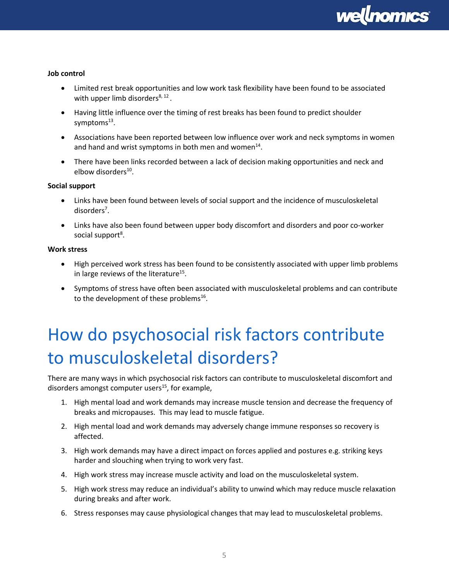

#### **Job control**

- Limited rest break opportunities and low work task flexibility have been found to be associated with upper limb disorders<sup>8, 12</sup>.
- Having little influence over the timing of rest breaks has been found to predict shoulder symptoms<sup>13</sup>.
- Associations have been reported between low influence over work and neck symptoms in women and hand and wrist symptoms in both men and women $^{14}$ .
- There have been links recorded between a lack of decision making opportunities and neck and elbow disorders<sup>10</sup>.

#### **Social support**

- Links have been found between levels of social support and the incidence of musculoskeletal disorders<sup>7</sup>.
- Links have also been found between upper body discomfort and disorders and poor co-worker social support<sup>8</sup>.

#### **Work stress**

- High perceived work stress has been found to be consistently associated with upper limb problems in large reviews of the literature<sup>15</sup>.
- Symptoms of stress have often been associated with musculoskeletal problems and can contribute to the development of these problems<sup>16</sup>.

# <span id="page-4-0"></span>How do psychosocial risk factors contribute to musculoskeletal disorders?

There are many ways in which psychosocial risk factors can contribute to musculoskeletal discomfort and disorders amongst computer users $^{15}$ , for example,

- 1. High mental load and work demands may increase muscle tension and decrease the frequency of breaks and micropauses. This may lead to muscle fatigue.
- 2. High mental load and work demands may adversely change immune responses so recovery is affected.
- 3. High work demands may have a direct impact on forces applied and postures e.g. striking keys harder and slouching when trying to work very fast.
- 4. High work stress may increase muscle activity and load on the musculoskeletal system.
- 5. High work stress may reduce an individual's ability to unwind which may reduce muscle relaxation during breaks and after work.
- 6. Stress responses may cause physiological changes that may lead to musculoskeletal problems.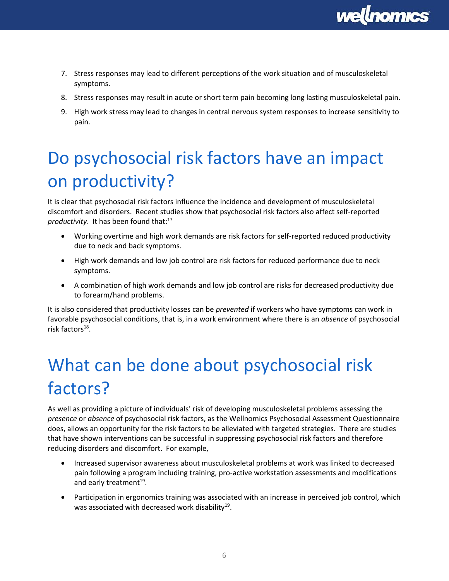

- 7. Stress responses may lead to different perceptions of the work situation and of musculoskeletal symptoms.
- 8. Stress responses may result in acute or short term pain becoming long lasting musculoskeletal pain.
- 9. High work stress may lead to changes in central nervous system responses to increase sensitivity to pain.

# <span id="page-5-0"></span>Do psychosocial risk factors have an impact on productivity?

It is clear that psychosocial risk factors influence the incidence and development of musculoskeletal discomfort and disorders. Recent studies show that psychosocial risk factors also affect self-reported productivity. It has been found that:<sup>17</sup>

- Working overtime and high work demands are risk factors for self-reported reduced productivity due to neck and back symptoms.
- High work demands and low job control are risk factors for reduced performance due to neck symptoms.
- A combination of high work demands and low job control are risks for decreased productivity due to forearm/hand problems.

It is also considered that productivity losses can be *prevented* if workers who have symptoms can work in favorable psychosocial conditions, that is, in a work environment where there is an *absence* of psychosocial risk factors<sup>18</sup>.

# <span id="page-5-1"></span>What can be done about psychosocial risk factors?

As well as providing a picture of individuals' risk of developing musculoskeletal problems assessing the *presence* or *absence* of psychosocial risk factors, as the Wellnomics Psychosocial Assessment Questionnaire does, allows an opportunity for the risk factors to be alleviated with targeted strategies. There are studies that have shown interventions can be successful in suppressing psychosocial risk factors and therefore reducing disorders and discomfort. For example,

- Increased supervisor awareness about musculoskeletal problems at work was linked to decreased pain following a program including training, pro-active workstation assessments and modifications and early treatment<sup>19</sup>.
- Participation in ergonomics training was associated with an increase in perceived job control, which was associated with decreased work disability<sup>19</sup>.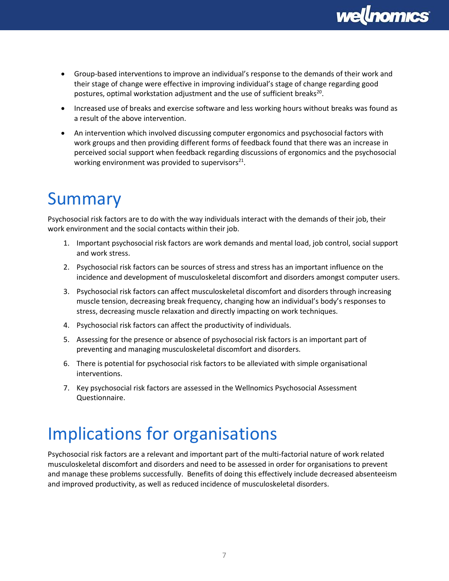

- Group-based interventions to improve an individual's response to the demands of their work and their stage of change were effective in improving individual's stage of change regarding good postures, optimal workstation adjustment and the use of sufficient breaks<sup>20</sup>.
- Increased use of breaks and exercise software and less working hours without breaks was found as a result of the above intervention.
- An intervention which involved discussing computer ergonomics and psychosocial factors with work groups and then providing different forms of feedback found that there was an increase in perceived social support when feedback regarding discussions of ergonomics and the psychosocial working environment was provided to supervisors $^{21}$ .

### <span id="page-6-0"></span>Summary

Psychosocial risk factors are to do with the way individuals interact with the demands of their job, their work environment and the social contacts within their job.

- 1. Important psychosocial risk factors are work demands and mental load, job control, social support and work stress.
- 2. Psychosocial risk factors can be sources of stress and stress has an important influence on the incidence and development of musculoskeletal discomfort and disorders amongst computer users.
- 3. Psychosocial risk factors can affect musculoskeletal discomfort and disorders through increasing muscle tension, decreasing break frequency, changing how an individual's body's responses to stress, decreasing muscle relaxation and directly impacting on work techniques.
- 4. Psychosocial risk factors can affect the productivity of individuals.
- 5. Assessing for the presence or absence of psychosocial risk factors is an important part of preventing and managing musculoskeletal discomfort and disorders.
- 6. There is potential for psychosocial risk factors to be alleviated with simple organisational interventions.
- 7. Key psychosocial risk factors are assessed in the Wellnomics Psychosocial Assessment Questionnaire.

### <span id="page-6-1"></span>Implications for organisations

Psychosocial risk factors are a relevant and important part of the multi-factorial nature of work related musculoskeletal discomfort and disorders and need to be assessed in order for organisations to prevent and manage these problems successfully. Benefits of doing this effectively include decreased absenteeism and improved productivity, as well as reduced incidence of musculoskeletal disorders.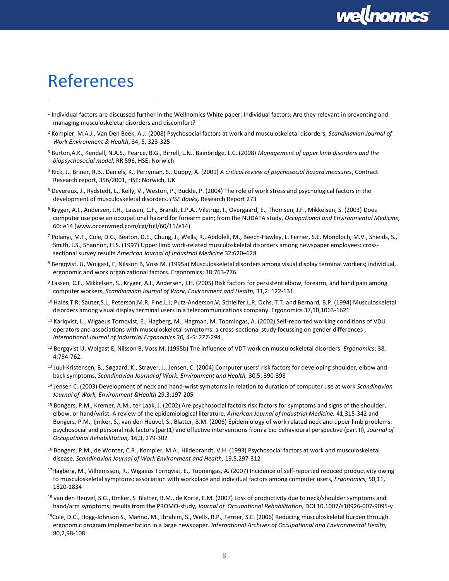

### <span id="page-7-0"></span>References

 $\ddot{\phantom{a}}$ 

- <sup>1</sup> Individual factors are discussed further in the Wellnomics White paper: Individual factors: Are they relevant in preventing and managing musculoskeletal disorders and discomfort?
- <sup>2</sup> Kompier, M.A.J., Van Den Beek, A.J. (2008) Psychosocial factors at work and musculoskeletal disorders, *Scandinavian Journal of Work Environment & Health*, 34, 5, 323-325
- <sup>3</sup> Burton,A.K., Kendall, N.A.S., Pearce, B.G., Birrell, L.N., Bainbridge, L.C. (2008) *Management of upper limb disorders and the biopsychosocial model*, RR 596, HSE: Norwich
- <sup>4</sup> Rick, J., Briner, R.B., Daniels, K., Perryman, S., Guppy, A. (2001) *A critical review of psychosocial hazard measures*, Contract Research report, 356/2001, HSE: Norwich, UK
- <sup>5</sup> Devereux, J., Rydstedt, L., Kelly, V., Weston, P., Buckle, P. (2004) The role of work stress and psychological factors in the development of musculoskeletal disorders. *HSE Books,* Research Report 273
- <sup>6</sup> Kryger, A.I., Andersen, J.H., Lassen, C.F., Brandt, L.P.A., Vilstrup, I., Overgaard, E., Thomsen, J.F., Mikkelsen, S. (2003) Does computer use pose an occupational hazard for forearm pain; from the NUDATA study, *Occupational and Environmental Medicine,* 60: e14 (www.occenvmed.com/cgi/full/60/11/e14)
- <sup>7</sup> Polanyi, M.F., Cole, D.C., Beaton, D.E., Chung, J., Wells, R., Abdolell, M., Beech-Hawley, L. Ferrier, S.E. Mondloch, M.V., Shields, S., Smith, J.S., Shannon, H.S. (1997) Upper limb work-related musculoskeletal disorders among newspaper employees: crosssectional survey results *American Journal of Industrial Medicine* 32:620–628
- <sup>8</sup> Bergqvist, U, Wolgast, E, Nilsson B, Voss M. (1995a) Musculoskeletal disorders among visual display terminal workers; individual, ergonomic and work organizational factors. Ergonomics; 38:763-776.
- <sup>9</sup> Lassen, C.F., Mikkelsen, S., Kryger, A.I., Andersen, J.H. (2005) Risk factors for persistent elbow, forearm, and hand pain among computer workers, *Scandinavian Journal of Work, Environment and Health,* 31,2: 122-131
- <sup>10</sup> Hales,T.R; Sauter,S.L; Peterson,M.R; Fine,L.J; Putz-Anderson,V; Schleifer,L.R; Ochs, T.T. and Bernard, B.P. (1994) Musculoskeletal disorders among visual display terminal users in a telecommunications company. Ergonomics 37,10,1063-1621
- $11$  Karlqvist, L., Wigaeus Tornqvist, E., Hagberg, M., Hagman, M. Toomingas, A. (2002) Self-reported working conditions of VDU operators and associations with musculoskeletal symptoms: a cross-sectional study focussing on gender differences , *International Journal of Industrial Ergonomics 30, 4-5: 277-294*
- <sup>12</sup> Bergqvist U, Wolgast E, Nilsson B, Voss M. (1995b) The influence of VDT work on musculoskeletal disorders. *Ergonomics*; 38, 4:754-762.
- <sup>13</sup> Juul-Kristensen, B., Søgaard, K., Strøyer, J., Jensen, C. (2004) Computer users' risk factors for developing shoulder, elbow and back symptoms, *Scandinavian Journal of Work, Environment and Health,* 30,5: 390-398
- <sup>14</sup> Jensen C. (2003) Development of neck and hand-wrist symptoms in relation to duration of computer use at work *Scandinavian Journal of Work, Environment &Health* 29,3:197-205
- <sup>15</sup> Bongers, P.M., Kremer, A.M., ter Laak, J. (2002) Are psychosocial factors risk factors for symptoms and signs of the shoulder, elbow, or hand/wrist: A review of the epidemiological literature, *American Journal of Industrial Medicine,* 41,315-342 and Bongers, P.M., Ijmker, S., van den Heuvel, S., Blatter, B.M. (2006) Epidemiology of work related neck and upper limb problems: psychosocial and personal risk factors (part1) and effective interventions from a bio behavioural perspective (part II), *Journal of Occupational Rehabilitation,* 16,3, 279-302
- <sup>16</sup> Bongers, P.M., de Wonter, C.R., Kompier, M.A., Hildebrandt, V.H. (1993) Psychosocial factors at work and musculoskeletal disease, *Scandinavian Journal of Work Environment and Health,* 19,5,297-312
- <sup>17</sup>Hagberg, M., Vilhemsson, R., Wigaeus Tornqvist, E., Toomingas, A. (2007) Incidence of self-reported reduced productivity owing to musculoskeletal symptoms: association with workplace and individual factors among computer users, *Ergonomics,* 50,11, 1820-1834
- <sup>18</sup> van den Heuvel, S.G., IJmker, S Blatter, B.M., de Korte, E.M. (2007) Loss of productivity due to neck/shoulder symptoms and hand/arm symptoms: results from the PROMO-study, *Journal of Occupational Rehabilitation,* DOI 10.1007/s10926-007-9095-y
- <sup>19</sup>Cole, D.C., Hogg-Johnson S., Manno, M., Ibrahim, S., Wells, R.P., Ferrier, S.E. (2006) Reducing musculoskeletal burden through ergonomic program implementation in a large newspaper. *International Archives of Occupational and Environmental Health,*  80,2,98-108